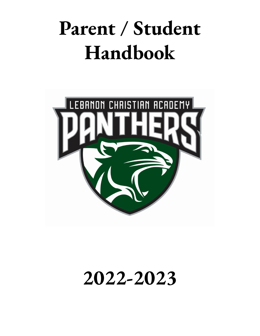# **Parent / Student Handbook**



# **2022-2023**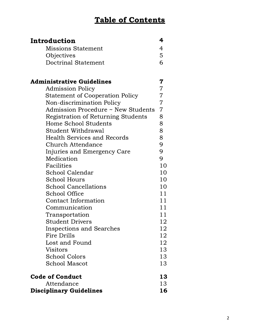### Table of Contents

| Introduction                           | 4              |
|----------------------------------------|----------------|
| <b>Missions Statement</b>              | 4              |
| Objectives                             | 5              |
| <b>Doctrinal Statement</b>             | 6              |
|                                        |                |
| <b>Administrative Guidelines</b>       | 7              |
| <b>Admission Policy</b>                | $\overline{7}$ |
| <b>Statement of Cooperation Policy</b> | $\overline{7}$ |
| Non-discrimination Policy              | $\overline{7}$ |
| Admission Procedure ~ New Students     | $\overline{7}$ |
| Registration of Returning Students     | 8              |
| Home School Students                   | 8              |
| Student Withdrawal                     | 8              |
| <b>Health Services and Records</b>     | 8              |
| Church Attendance                      | 9              |
| Injuries and Emergency Care            | 9              |
| Medication                             | 9              |
| Facilities                             | 10             |
| School Calendar                        | 10             |
| School Hours                           | 10             |
| <b>School Cancellations</b>            | 10             |
| School Office                          | 11             |
| <b>Contact Information</b>             | 11             |
| Communication                          | 11             |
| Transportation                         | 11             |
| <b>Student Drivers</b>                 | 12             |
| <b>Inspections and Searches</b>        | 12             |
| Fire Drills                            | 12             |
| Lost and Found                         | 12             |
| Visitors                               | 13             |
| <b>School Colors</b>                   | 13             |
| <b>School Mascot</b>                   | 13             |
| <b>Code of Conduct</b>                 | 13             |
| Attendance                             | 13             |
| <b>Disciplinary Guidelines</b>         | 16             |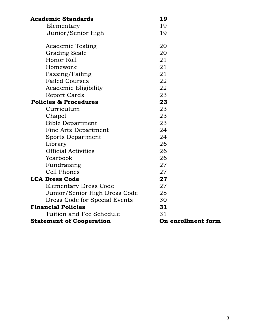| <b>Academic Standards</b>        | 19                 |
|----------------------------------|--------------------|
| Elementary                       | 19                 |
| Junior/Senior High               | 19                 |
| <b>Academic Testing</b>          | 20                 |
| <b>Grading Scale</b>             | 20                 |
| Honor Roll                       | 21                 |
| Homework                         | 21                 |
| Passing/Failing                  | 21                 |
| <b>Failed Courses</b>            | 22                 |
| Academic Eligibility             | 22                 |
| <b>Report Cards</b>              | 23                 |
| <b>Policies &amp; Procedures</b> | 23                 |
| Curriculum                       | 23                 |
| Chapel                           | 23                 |
| <b>Bible Department</b>          | 23                 |
| <b>Fine Arts Department</b>      | 24                 |
| <b>Sports Department</b>         | 24                 |
| Library                          | 26                 |
| <b>Official Activities</b>       | 26                 |
| Yearbook                         | 26                 |
| Fundraising                      | 27                 |
| <b>Cell Phones</b>               | 27                 |
| <b>LCA Dress Code</b>            | 27                 |
| <b>Elementary Dress Code</b>     | 27                 |
| Junior/Senior High Dress Code    | 28                 |
| Dress Code for Special Events    | 30                 |
| <b>Financial Policies</b>        | 31                 |
| Tuition and Fee Schedule         | 31                 |
| <b>Statement of Cooperation</b>  | On enrollment form |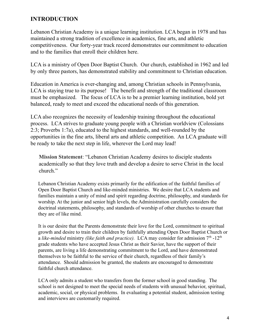#### **INTRODUCTION**

Lebanon Christian Academy is a unique learning institution. LCA began in 1978 and has maintained a strong tradition of excellence in academics, fine arts, and athletic competitiveness. Our forty-year track record demonstrates our commitment to education and to the families that enroll their children here.

LCA is a ministry of Open Door Baptist Church. Our church, established in 1962 and led by only three pastors, has demonstrated stability and commitment to Christian education.

Education in America is ever-changing and, among Christian schools in Pennsylvania, LCA is staying true to its purpose! The benefit and strength of the traditional classroom must be emphasized. The focus of LCA is to be a premier learning institution, bold yet balanced, ready to meet and exceed the educational needs of this generation.

LCA also recognizes the necessity of leadership training throughout the educational process. LCA strives to graduate young people with a Christian worldview (Colossians 2:3; Proverbs 1:7a), educated to the highest standards, and well-rounded by the opportunities in the fine arts, liberal arts and athletic competition. An LCA graduate will be ready to take the next step in life, wherever the Lord may lead!

**Mission Statement**: "Lebanon Christian Academy desires to disciple students academically so that they love truth and develop a desire to serve Christ in the local church."

Lebanon Christian Academy exists primarily for the edification of the faithful families of Open Door Baptist Church and like-minded ministries. We desire that LCA students and families maintain a unity of mind and spirit regarding doctrine, philosophy, and standards for worship. At the junior and senior high levels, the Administration carefully considers the doctrinal statements, philosophy, and standards of worship of other churches to ensure that they are of like mind.

It is our desire that the Parents demonstrate their love for the Lord, commitment to spiritual growth and desire to train their children by faithfully attending Open Door Baptist Church or a like-minded ministry *(like faith and practice)*. LCA may consider for admission 7<sup>th</sup> -12<sup>th</sup> grade students who have accepted Jesus Christ as their Savior, have the support of their parents, are living a life demonstrating commitment to the Lord, and have demonstrated themselves to be faithful to the service of their church, regardless of their family's attendance. Should admission be granted, the students are encouraged to demonstrate faithful church attendance.

LCA only admits a student who transfers from the former school in good standing. The school is not designed to meet the special needs of students with unusual behavior, spiritual, academic, social, or physical problems. In evaluating a potential student, admission testing and interviews are customarily required.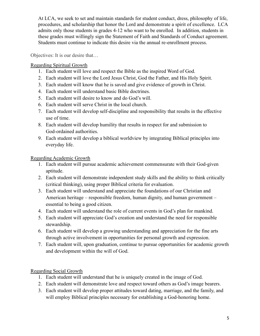At LCA, we seek to set and maintain standards for student conduct, dress, philosophy of life, procedures, and scholarship that honor the Lord and demonstrate a spirit of excellence. LCA admits only those students in grades 4-12 who want to be enrolled. In addition, students in these grades must willingly sign the Statement of Faith and Standards of Conduct agreement. Students must continue to indicate this desire via the annual re-enrollment process.

Objectives: It is our desire that…

#### Regarding Spiritual Growth

- 1. Each student will love and respect the Bible as the inspired Word of God.
- 2. Each student will love the Lord Jesus Christ, God the Father, and His Holy Spirit.
- 3. Each student will know that he is saved and give evidence of growth in Christ.
- 4. Each student will understand basic Bible doctrines.
- 5. Each student will desire to know and do God's will.
- 6. Each student will serve Christ in the local church.
- 7. Each student will develop self-discipline and responsibility that results in the effective use of time.
- 8. Each student will develop humility that results in respect for and submission to God-ordained authorities.
- 9. Each student will develop a biblical worldview by integrating Biblical principles into everyday life.

#### Regarding Academic Growth

- 1. Each student will pursue academic achievement commensurate with their God-given aptitude.
- 2. Each student will demonstrate independent study skills and the ability to think critically (critical thinking), using proper Biblical criteria for evaluation.
- 3. Each student will understand and appreciate the foundations of our Christian and American heritage – responsible freedom, human dignity, and human government – essential to being a good citizen.
- 4. Each student will understand the role of current events in God's plan for mankind.
- 5. Each student will appreciate God's creation and understand the need for responsible stewardship.
- 6. Each student will develop a growing understanding and appreciation for the fine arts through active involvement in opportunities for personal growth and expression.
- 7. Each student will, upon graduation, continue to pursue opportunities for academic growth and development within the will of God.

#### Regarding Social Growth

- 1. Each student will understand that he is uniquely created in the image of God.
- 2. Each student will demonstrate love and respect toward others as God's image bearers.
- 3. Each student will develop proper attitudes toward dating, marriage, and the family, and will employ Biblical principles necessary for establishing a God-honoring home.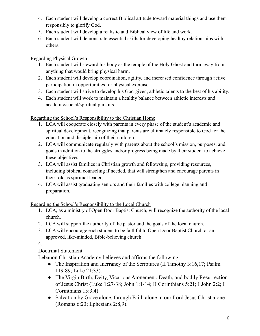- 4. Each student will develop a correct Biblical attitude toward material things and use them responsibly to glorify God.
- 5. Each student will develop a realistic and Biblical view of life and work.
- 6. Each student will demonstrate essential skills for developing healthy relationships with others.

Regarding Physical Growth

- 1. Each student will steward his body as the temple of the Holy Ghost and turn away from anything that would bring physical harm.
- 2. Each student will develop coordination, agility, and increased confidence through active participation in opportunities for physical exercise.
- 3. Each student will strive to develop his God-given, athletic talents to the best of his ability.
- 4. Each student will work to maintain a healthy balance between athletic interests and academic/social/spiritual pursuits.

Regarding the School's Responsibility to the Christian Home

- 1. LCA will cooperate closely with parents in every phase of the student's academic and spiritual development, recognizing that parents are ultimately responsible to God for the education and discipleship of their children.
- 2. LCA will communicate regularly with parents about the school's mission, purposes, and goals in addition to the struggles and/or progress being made by their student to achieve these objectives.
- 3. LCA will assist families in Christian growth and fellowship, providing resources, including biblical counseling if needed, that will strengthen and encourage parents in their role as spiritual leaders.
- 4. LCA will assist graduating seniors and their families with college planning and preparation.

Regarding the School's Responsibility to the Local Church

- 1. LCA, as a ministry of Open Door Baptist Church, will recognize the authority of the local church.
- 2. LCA will support the authority of the pastor and the goals of the local church.
- 3. LCA will encourage each student to be faithful to Open Door Baptist Church or an approved, like-minded, Bible-believing church.

4.

#### Doctrinal Statement

Lebanon Christian Academy believes and affirms the following:

- The Inspiration and Inerrancy of the Scriptures (II Timothy 3:16,17; Psalm 119:89; Luke 21:33).
- The Virgin Birth, Deity, Vicarious Atonement, Death, and bodily Resurrection of Jesus Christ (Luke 1:27-38; John 1:1-14; II Corinthians 5:21; I John 2:2; I Corinthians 15:3,4).
- Salvation by Grace alone, through Faith alone in our Lord Jesus Christ alone (Romans 6:23; Ephesians 2:8,9).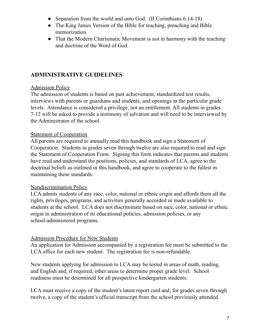- Separation from the world and unto God. (II Corinthians 6:14-18)
- The King James Version of the Bible for teaching, preaching and Bible memorization.
- That the Modern Charismatic Movement is not in harmony with the teaching and doctrine of the Word of God.

#### **ADMINISTRATIVE GUIDELINES**

#### Admission Policy

The admission of students is based on past achievement, standardized test results, interviews with parents or guardians and students, and openings in the particular grade levels. Attendance is considered a privilege, not an entitlement. All students in grades 7-12 will be asked to provide a testimony of salvation and will need to be interviewed by the Administrator of the school.

#### Statement of Cooperation

All parents are required to annually read this handbook and sign a Statement of Cooperation. Students in grades seven through twelve are also required to read and sign the Statement of Cooperation Form. Signing this form indicates that parents and students have read and understand the positions, policies, and standards of LCA, agree to the doctrinal beliefs as outlined in this handbook, and agree to cooperate to the fullest in maintaining these standards.

#### Nondiscrimination Policy

LCA admits students of any race, color, national or ethnic origin and affords them all the rights, privileges, programs, and activities generally accorded or made available to students at the school. LCA does not discriminate based on race, color, national or ethnic origin in administration of its educational policies, admission policies, or any school-administered programs.

#### Admission Procedure for New Students

An application for Admission accompanied by a registration fee must be submitted to the LCA office for each new student. The registration fee is non-refundable.

New students applying for admission to LCA may be tested in areas of math, reading, and English and, if required, other areas to determine proper grade level. School readiness must be determined for all prospective kindergarten students.

LCA must receive a copy of the student's latest report card and, for grades seven through twelve, a copy of the student's official transcript from the school previously attended.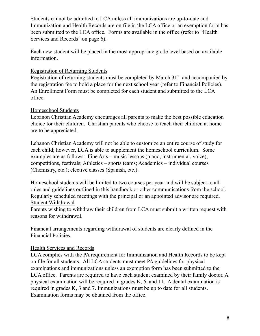Students cannot be admitted to LCA unless all immunizations are up-to-date and Immunization and Health Records are on file in the LCA office or an exemption form has been submitted to the LCA office. Forms are available in the office (refer to "Health Services and Records" on page 6).

Each new student will be placed in the most appropriate grade level based on available information.

#### Registration of Returning Students

Registration of returning students must be completed by March  $31<sup>st</sup>$  and accompanied by the registration fee to hold a place for the next school year (refer to Financial Policies). An Enrollment Form must be completed for each student and submitted to the LCA office.

#### Homeschool Students

Lebanon Christian Academy encourages all parents to make the best possible education choice for their children. Christian parents who choose to teach their children at home are to be appreciated.

Lebanon Christian Academy will not be able to customize an entire course of study for each child; however, LCA is able to supplement the homeschool curriculum. Some examples are as follows: Fine Arts – music lessons (piano, instrumental, voice), competitions, festivals; Athletics – sports teams; Academics – individual courses (Chemistry, etc.); elective classes (Spanish, etc.).

Homeschool students will be limited to two courses per year and will be subject to all rules and guidelines outlined in this handbook or other communications from the school. Regularly scheduled meetings with the principal or an appointed advisor are required. Student Withdrawal

Parents wishing to withdraw their children from LCA must submit a written request with reasons for withdrawal.

Financial arrangements regarding withdrawal of students are clearly defined in the Financial Policies.

#### Health Services and Records

LCA complies with the PA requirement for Immunization and Health Records to be kept on file for all students. All LCA students must meet PA guidelines for physical examinations and immunizations unless an exemption form has been submitted to the LCA office. Parents are required to have each student examined by their family doctor. A physical examination will be required in grades K, 6, and 11. A dental examination is required in grades K, 3 and 7. Immunizations must be up to date for all students. Examination forms may be obtained from the office.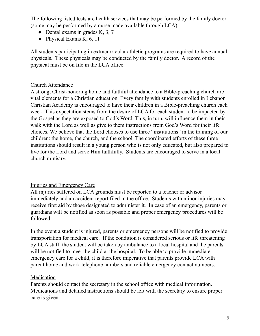The following listed tests are health services that may be performed by the family doctor (some may be performed by a nurse made available through LCA).

- Dental exams in grades K, 3, 7
- $\bullet$  Physical Exams K, 6, 11

All students participating in extracurricular athletic programs are required to have annual physicals. These physicals may be conducted by the family doctor. A record of the physical must be on file in the LCA office.

#### Church Attendance

A strong, Christ-honoring home and faithful attendance to a Bible-preaching church are vital elements for a Christian education. Every family with students enrolled in Lebanon Christian Academy is encouraged to have their children in a Bible-preaching church each week. This expectation stems from the desire of LCA for each student to be impacted by the Gospel as they are exposed to God's Word. This, in turn, will influence them in their walk with the Lord as well as give to them instructions from God's Word for their life choices. We believe that the Lord chooses to use three "institutions" in the training of our children: the home, the church, and the school. The coordinated efforts of these three institutions should result in a young person who is not only educated, but also prepared to live for the Lord and serve Him faithfully. Students are encouraged to serve in a local church ministry.

#### Injuries and Emergency Care

All injuries suffered on LCA grounds must be reported to a teacher or advisor immediately and an accident report filed in the office. Students with minor injuries may receive first aid by those designated to administer it. In case of an emergency, parents or guardians will be notified as soon as possible and proper emergency procedures will be followed.

In the event a student is injured, parents or emergency persons will be notified to provide transportation for medical care. If the condition is considered serious or life threatening by LCA staff, the student will be taken by ambulance to a local hospital and the parents will be notified to meet the child at the hospital. To be able to provide immediate emergency care for a child, it is therefore imperative that parents provide LCA with parent home and work telephone numbers and reliable emergency contact numbers.

#### **Medication**

Parents should contact the secretary in the school office with medical information. Medications and detailed instructions should be left with the secretary to ensure proper care is given.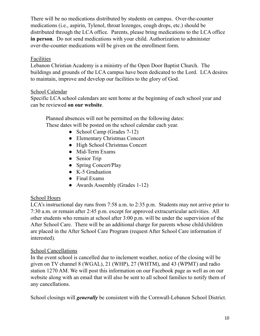There will be no medications distributed by students on campus. Over-the-counter medications (i.e., aspirin, Tylenol, throat lozenges, cough drops, etc.) should be distributed through the LCA office. Parents, please bring medications to the LCA office **in person**. Do not send medications with your child. Authorization to administer over-the-counter medications will be given on the enrollment form.

#### Facilities

Lebanon Christian Academy is a ministry of the Open Door Baptist Church. The buildings and grounds of the LCA campus have been dedicated to the Lord. LCA desires to maintain, improve and develop our facilities to the glory of God.

#### School Calendar

Specific LCA school calendars are sent home at the beginning of each school year and can be reviewed **on our website**.

Planned absences will not be permitted on the following dates: These dates will be posted on the school calendar each year.

- School Camp (Grades 7-12)
- Elementary Christmas Concert
- High School Christmas Concert
- Mid-Term Exams
- Senior Trip
- Spring Concert/Play
- K-5 Graduation
- Final Exams
- Awards Assembly (Grades 1-12)

#### School Hours

LCA's instructional day runs from 7:58 a.m. to 2:35 p.m. Students may not arrive prior to 7:30 a.m. or remain after 2:45 p.m. except for approved extracurricular activities. All other students who remain at school after 3:00 p.m. will be under the supervision of the After School Care. There will be an additional charge for parents whose child/children are placed in the After School Care Program (request After School Care information if interested).

#### School Cancellations

In the event school is cancelled due to inclement weather, notice of the closing will be given on TV channel 8 (WGAL), 21 (WHP), 27 (WHTM), and 43 (WPMT) and radio station 1270 AM. We will post this information on our Facebook page as well as on our website along with an email that will also be sent to all school families to notify them of any cancellations.

School closings will *generally* be consistent with the Cornwall-Lebanon School District.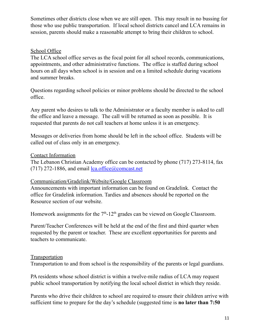Sometimes other districts close when we are still open. This may result in no bussing for those who use public transportation. If local school districts cancel and LCA remains in session, parents should make a reasonable attempt to bring their children to school.

#### School Office

The LCA school office serves as the focal point for all school records, communications, appointments, and other administrative functions. The office is staffed during school hours on all days when school is in session and on a limited schedule during vacations and summer breaks.

Questions regarding school policies or minor problems should be directed to the school office.

Any parent who desires to talk to the Administrator or a faculty member is asked to call the office and leave a message. The call will be returned as soon as possible. It is requested that parents do not call teachers at home unless it is an emergency.

Messages or deliveries from home should be left in the school office. Students will be called out of class only in an emergency.

#### Contact Information

The Lebanon Christian Academy office can be contacted by phone (717) 273-8114, fax (717) 272-1886, and email  $lca.office@comcast.net$ 

#### Communication/Gradelink/Website/Google Classroom

Announcements with important information can be found on Gradelink. Contact the office for Gradelink information. Tardies and absences should be reported on the Resource section of our website.

Homework assignments for the  $7<sup>th</sup>$ -12<sup>th</sup> grades can be viewed on Google Classroom.

Parent/Teacher Conferences will be held at the end of the first and third quarter when requested by the parent or teacher. These are excellent opportunities for parents and teachers to communicate.

#### **Transportation**

Transportation to and from school is the responsibility of the parents or legal guardians.

PA residents whose school district is within a twelve-mile radius of LCA may request public school transportation by notifying the local school district in which they reside.

Parents who drive their children to school are required to ensure their children arrive with sufficient time to prepare for the day's schedule (suggested time is **no later than 7:50**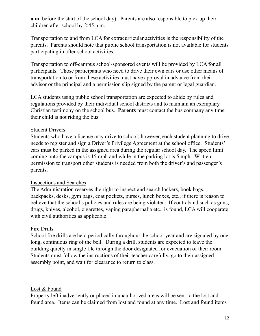**a.m.** before the start of the school day). Parents are also responsible to pick up their children after school by 2:45 p.m.

Transportation to and from LCA for extracurricular activities is the responsibility of the parents. Parents should note that public school transportation is not available for students participating in after-school activities.

Transportation to off-campus school-sponsored events will be provided by LCA for all participants. Those participants who need to drive their own cars or use other means of transportation to or from these activities must have approval in advance from their advisor or the principal and a permission slip signed by the parent or legal guardian.

LCA students using public school transportation are expected to abide by rules and regulations provided by their individual school districts and to maintain an exemplary Christian testimony on the school bus. **Parents** must contact the bus company any time their child is not riding the bus.

#### Student Drivers

Students who have a license may drive to school; however, each student planning to drive needs to register and sign a Driver's Privilege Agreement at the school office. Students' cars must be parked in the assigned area during the regular school day. The speed limit coming onto the campus is 15 mph and while in the parking lot is 5 mph. Written permission to transport other students is needed from both the driver's and passenger's parents.

#### Inspections and Searches

The Administration reserves the right to inspect and search lockers, book bags, backpacks, desks, gym bags, coat pockets, purses, lunch boxes, etc., if there is reason to believe that the school's policies and rules are being violated. If contraband such as guns, drugs, knives, alcohol, cigarettes, vaping paraphernalia etc., is found, LCA will cooperate with civil authorities as applicable.

#### Fire Drills

School fire drills are held periodically throughout the school year and are signaled by one long, continuous ring of the bell. During a drill, students are expected to leave the building quietly in single file through the door designated for evacuation of their room. Students must follow the instructions of their teacher carefully, go to their assigned assembly point, and wait for clearance to return to class.

#### Lost & Found

Property left inadvertently or placed in unauthorized areas will be sent to the lost and found area. Items can be claimed from lost and found at any time. Lost and found items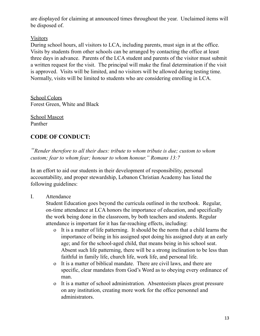are displayed for claiming at announced times throughout the year. Unclaimed items will be disposed of.

#### Visitors

During school hours, all visitors to LCA, including parents, must sign in at the office. Visits by students from other schools can be arranged by contacting the office at least three days in advance. Parents of the LCA student and parents of the visitor must submit a written request for the visit. The principal will make the final determination if the visit is approved. Visits will be limited, and no visitors will be allowed during testing time. Normally, visits will be limited to students who are considering enrolling in LCA.

School Colors Forest Green, White and Black

School Mascot Panther

### **CODE OF CONDUCT:**

*"Render therefore to all their dues: tribute to whom tribute is due; custom to whom custom; fear to whom fear; honour to whom honour." Romans 13:7*

In an effort to aid our students in their development of responsibility, personal accountability, and proper stewardship, Lebanon Christian Academy has listed the following guidelines:

I. Attendance

Student Education goes beyond the curricula outlined in the textbook. Regular, on-time attendance at LCA honors the importance of education, and specifically the work being done in the classroom, by both teachers and students. Regular attendance is important for it has far-reaching effects, including:

- o It is a matter of life patterning. It should be the norm that a child learns the importance of being in his assigned spot doing his assigned duty at an early age; and for the school-aged child, that means being in his school seat. Absent such life patterning, there will be a strong inclination to be less than faithful in family life, church life, work life, and personal life.
- o It is a matter of biblical mandate. There are civil laws, and there are specific, clear mandates from God's Word as to obeying every ordinance of man.
- o It is a matter of school administration. Absenteeism places great pressure on any institution, creating more work for the office personnel and administrators.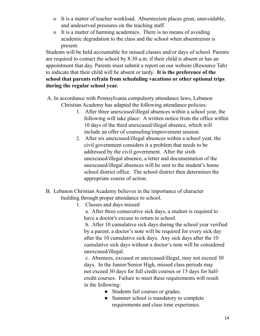- o It is a matter of teacher workload. Absenteeism places great, unavoidable, and undeserved pressures on the teaching staff.
- o It is a matter of harming academics. There is no means of avoiding academic degradation to the class and the school when absenteeism is present.

Students will be held accountable for missed classes and/or days of school. Parents are required to contact the school by 8:30 a.m. if their child is absent or has an appointment that day. Parents must submit a report on our website (Resource Tab) to indicate that their child will be absent or tardy. **It is the preference of the school that parents refrain from scheduling vacations or other optional trips during the regular school year.**

- A. In accordance with Pennsylvania compulsory attendance laws, Lebanon Christian Academy has adapted the following attendance policies:
	- 1. After three unexcused/illegal absences within a school year, the following will take place: A written notice from the office within 10 days of the third unexcused/illegal absence, which will include an offer of counseling/improvement session.
	- 2. After six unexcused/illegal absences within a school year, the civil government considers it a problem that needs to be addressed by the civil government. After the sixth unexcused/illegal absence, a letter and documentation of the unexcused/illegal absences will be sent to the student's home school district office. The school district then determines the appropriate course of action.
- B. Lebanon Christian Academy believes in the importance of character building through proper attendance to school.
	- 1. Classes and days missed

a. After three consecutive sick days, a student is required to have a doctor's excuse to return to school.

b. After 10 cumulative sick days during the school year verified by a parent, a doctor's note will be required for every sick day after the 10 cumulative sick days. Any sick days after the 10 cumulative sick days without a doctor's note will be considered unexcused/illegal.

c. Absences, excused or unexcused/illegal, may not exceed 30 days. In the Junior/Senior High, missed class periods may not exceed 30 days for full credit courses or 15 days for halfcredit courses. Failure to meet these requirements will result in the following:

- Students fail courses or grades.
- Summer school is mandatory to complete requirements and class time experience.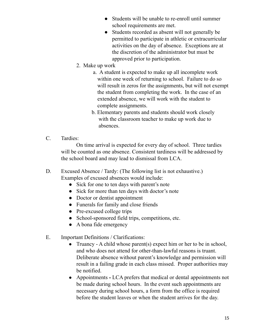- Students will be unable to re-enroll until summer school requirements are met.
- Students recorded as absent will not generally be permitted to participate in athletic or extracurricular activities on the day of absence. Exceptions are at the discretion of the administrator but must be approved prior to participation.
- 2. Make up work
	- a. A student is expected to make up all incomplete work within one week of returning to school. Failure to do so will result in zeros for the assignments, but will not exempt the student from completing the work. In the case of an extended absence, we will work with the student to complete assignments.
	- b. Elementary parents and students should work closely with the classroom teacher to make up work due to absences.
- C. Tardies:

On time arrival is expected for every day of school. Three tardies will be counted as one absence. Consistent tardiness will be addressed by the school board and may lead to dismissal from LCA.

- D. Excused Absence / Tardy: (The following list is not exhaustive.) Examples of excused absences would include:
	- Sick for one to ten days with parent's note
	- Sick for more than ten days with doctor's note
	- Doctor or dentist appointment
	- Funerals for family and close friends
	- Pre-excused college trips
	- School-sponsored field trips, competitions, etc.
	- A bona fide emergency
- E. Important Definitions / Clarifications:
	- Truancy A child whose parent(s) expect him or her to be in school, and who does not attend for other-than-lawful reasons is truant. Deliberate absence without parent's knowledge and permission will result in a failing grade in each class missed. Proper authorities may be notified.
	- Appointments **-** LCA prefers that medical or dental appointments not be made during school hours. In the event such appointments are necessary during school hours, a form from the office is required before the student leaves or when the student arrives for the day.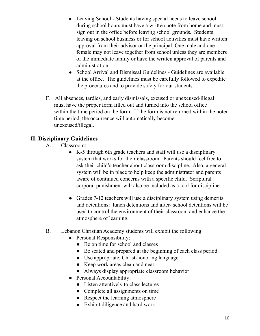- Leaving School Students having special needs to leave school during school hours must have a written note from home and must sign out in the office before leaving school grounds. Students leaving on school business or for school activities must have written approval from their advisor or the principal. One male and one female may not leave together from school unless they are members of the immediate family or have the written approval of parents and administration.
- School Arrival and Dismissal Guidelines Guidelines are available at the office. The guidelines must be carefully followed to expedite the procedures and to provide safety for our students.
- F. All absences, tardies, and early dismissals, excused or unexcused/illegal must have the proper form filled out and turned into the school office within the time period on the form. If the form is not returned within the noted time period, the occurrence will automatically become unexcused/illegal.

#### **II. Disciplinary Guidelines**

- A. Classroom:
	- K-5 through 6th grade teachers and staff will use a disciplinary system that works for their classroom. Parents should feel free to ask their child's teacher about classroom discipline. Also, a general system will be in place to help keep the administrator and parents aware of continued concerns with a specific child. Scriptural corporal punishment will also be included as a tool for discipline.
	- Grades 7-12 teachers will use a disciplinary system using demerits and detentions: lunch detentions and after- school detentions will be used to control the environment of their classroom and enhance the atmosphere of learning.
- B. Lebanon Christian Academy students will exhibit the following:
	- Personal Responsibility:
		- Be on time for school and classes
		- Be seated and prepared at the beginning of each class period
		- Use appropriate, Christ-honoring language
		- Keep work areas clean and neat.
		- Always display appropriate classroom behavior
	- Personal Accountability:
		- Listen attentively to class lectures
		- Complete all assignments on time
		- Respect the learning atmosphere
		- Exhibit diligence and hard work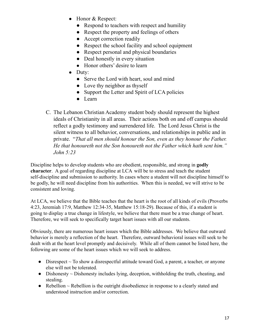- Honor & Respect:
	- Respond to teachers with respect and humility
	- Respect the property and feelings of others
	- Accept correction readily
	- Respect the school facility and school equipment
	- Respect personal and physical boundaries
	- Deal honestly in every situation
	- Honor others' desire to learn
- Duty:
	- Serve the Lord with heart, soul and mind
	- Love thy neighbor as thyself
	- Support the Letter and Spirit of LCA policies
	- Learn
- C. The Lebanon Christian Academy student body should represent the highest ideals of Christianity in all areas. Their actions both on and off campus should reflect a godly testimony and surrendered life. The Lord Jesus Christ is the silent witness to all behavior, conversations, and relationships in public and in private. "*That all men should honour the Son, even as they honour the Father. He that honoureth not the Son honoureth not the Father which hath sent him." John 5:23*

Discipline helps to develop students who are obedient, responsible, and strong in **godly character**. A goal of regarding discipline at LCA will be to stress and teach the student self-discipline and submission to authority. In cases where a student will not discipline himself to be godly, he will need discipline from his authorities. When this is needed, we will strive to be consistent and loving.

At LCA, we believe that the Bible teaches that the heart is the root of all kinds of evils (Proverbs 4:23, Jeremiah 17:9, Matthew 12:34-35, Matthew 15:18-29). Because of this, if a student is going to display a true change in lifestyle, we believe that there must be a true change of heart. Therefore, we will seek to specifically target heart issues with all our students.

Obviously, there are numerous heart issues which the Bible addresses. We believe that outward behavior is merely a reflection of the heart. Therefore, outward behavioral issues will seek to be dealt with at the heart level promptly and decisively. While all of them cannot be listed here, the following are some of the heart issues which we will seek to address.

- Disrespect  $\sim$  To show a disrespectful attitude toward God, a parent, a teacher, or anyone else will not be tolerated.
- Dishonesty  $\sim$  Dishonesty includes lying, deception, withholding the truth, cheating, and stealing.
- Rebellion  $\sim$  Rebellion is the outright disobedience in response to a clearly stated and understood instruction and/or correction.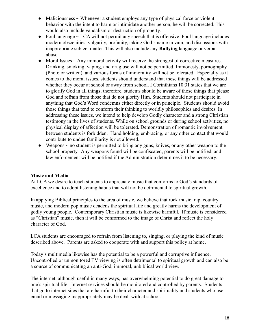- Maliciousness  $\sim$  Whenever a student employs any type of physical force or violent behavior with the intent to harm or intimidate another person, he will be corrected. This would also include vandalism or destruction of property.
- Foul language  $\sim$  LCA will not permit any speech that is offensive. Foul language includes modern obscenities, vulgarity, profanity, taking God's name in vain, and discussions with inappropriate subject matter. This will also include any **Bullying** language or verbal abuse.
- $\bullet$  Moral Issues  $\sim$  Any immoral activity will receive the strongest of corrective measures. Drinking, smoking, vaping, and drug use will not be permitted. Immodesty, pornography (Photo or written), and various forms of immorality will not be tolerated. Especially as it comes to the moral issues, students should understand that these things will be addressed whether they occur at school or away from school. I Corinthians 10:31 states that we are to glorify God in all things; therefore, students should be aware of those things that please God and refrain from those that do not glorify Him. Students should not participate in anything that God's Word condemns either directly or in principle. Students should avoid those things that tend to conform their thinking to worldly philosophies and desires. In addressing these issues, we intend to help develop Godly character and a strong Christian testimony in the lives of students. While on school grounds or during school activities, no physical display of affection will be tolerated. Demonstration of romantic involvement between students is forbidden. Hand holding, embracing, or any other contact that would contribute to undue familiarity is not allowed.
- Weapons  $\sim$  no student is permitted to bring any guns, knives, or any other weapon to the school property. Any weapons found will be confiscated, parents will be notified, and law enforcement will be notified if the Administration determines it to be necessary.

#### **Music and Media**

At LCA we desire to teach students to appreciate music that conforms to God's standards of excellence and to adopt listening habits that will not be detrimental to spiritual growth.

In applying Biblical principles to the area of music, we believe that rock music, rap, country music, and modern pop music deadens the spiritual life and greatly harms the development of godly young people. Contemporary Christian music is likewise harmful. If music is considered as "Christian" music, then it will be conformed to the image of Christ and reflect the holy character of God.

LCA students are encouraged to refrain from listening to, singing, or playing the kind of music described above. Parents are asked to cooperate with and support this policy at home.

Today's multimedia likewise has the potential to be a powerful and corruptive influence. Uncontrolled or unmonitored TV viewing is often detrimental to spiritual growth and can also be a source of communicating an anti-God, immoral, unbiblical world view.

The internet, although useful in many ways, has overwhelming potential to do great damage to one's spiritual life. Internet services should be monitored and controlled by parents. Students that go to internet sites that are harmful to their character and spirituality and students who use email or messaging inappropriately may be dealt with at school.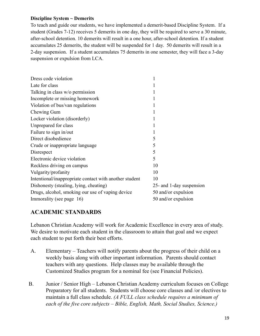#### **Discipline System ~ Demerits**

To teach and guide our students, we have implemented a demerit-based Discipline System. If a student (Grades 7-12) receives 5 demerits in one day, they will be required to serve a 30 minute, after-school detention. 10 demerits will result in a one hour, after-school detention. If a student accumulates 25 demerits, the student will be suspended for 1 day. 50 demerits will result in a 2-day suspension. If a student accumulates 75 demerits in one semester, they will face a 3-day suspension or expulsion from LCA.

| Dress code violation                                   | 1                        |
|--------------------------------------------------------|--------------------------|
| Late for class                                         |                          |
| Talking in class w/o permission                        |                          |
| Incomplete or missing homework                         |                          |
| Violation of bus/van regulations                       | 1                        |
| Chewing Gum                                            |                          |
| Locker violation (disorderly)                          |                          |
| Unprepared for class                                   |                          |
| Failure to sign in/out                                 | 1                        |
| Direct disobedience                                    | 5                        |
| Crude or inappropriate language                        | 5                        |
| Disrespect                                             | 5                        |
| Electronic device violation                            | 5                        |
| Reckless driving on campus                             | 10                       |
| Vulgarity/profanity                                    | 10                       |
| Intentional/inappropriate contact with another student | 10                       |
| Dishonesty (stealing, lying, cheating)                 | 25- and 1-day suspension |
| Drugs, alcohol, smoking our use of vaping device       | 50 and/or expulsion      |
| Immorality (see page 16)                               | 50 and/or expulsion      |

#### **ACADEMIC STANDARDS**

Lebanon Christian Academy will work for Academic Excellence in every area of study. We desire to motivate each student in the classroom to attain that goal and we expect each student to put forth their best efforts.

- A. Elementary Teachers will notify parents about the progress of their child on a weekly basis along with other important information. Parents should contact teachers with any questions. Help classes may be available through the Customized Studies program for a nominal fee (see Financial Policies).
- B. Junior / Senior High Lebanon Christian Academy curriculum focuses on College Preparatory for all students. Students will choose core classes and /or electives to maintain a full class schedule. *(A FULL class schedule requires a minimum of each of the five core subjects – Bible, English, Math, Social Studies, Science.)*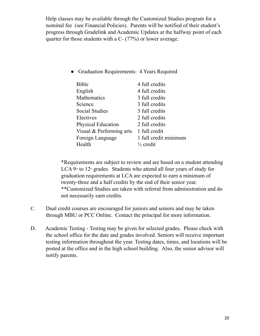Help classes may be available through the Customized Studies program for a nominal fee (see Financial Policies). Parents will be notified of their student's progress through Gradelink and Academic Updates at the halfway point of each quarter for those students with a C- (77%) or lower average.

● Graduation Requirements: 4 Years Required

| <b>Bible</b>               | 4 full credits        |
|----------------------------|-----------------------|
| English                    | 4 full credits        |
| <b>Mathematics</b>         | 3 full credits        |
| Science                    | 3 full credits        |
| <b>Social Studies</b>      | 3 full credits        |
| Electives                  | 2 full credits        |
| <b>Physical Education</b>  | 2 full credits        |
| Visual $&$ Performing arts | 1 full credit         |
| Foreign Language           | 1 full credit minimum |
| Health                     | $\frac{1}{2}$ credit  |
|                            |                       |

\*Requirements are subject to review and are based on a student attending LCA  $9<sup>th</sup>$  to  $12<sup>th</sup>$  grades. Students who attend all four years of study for graduation requirements at LCA are expected to earn a minimum of twenty-three and a half credits by the end of their senior year. \*\*Customized Studies are taken with referral from administration and do not necessarily earn credits.

- C. Dual credit courses are encouraged for juniors and seniors and may be taken through MBU or PCC Online. Contact the principal for more information.
- D. Academic Testing Testing may be given for selected grades. Please check with the school office for the date and grades involved. Seniors will receive important testing information throughout the year. Testing dates, times, and locations will be posted at the office and in the high school building. Also, the senior advisor will notify parents.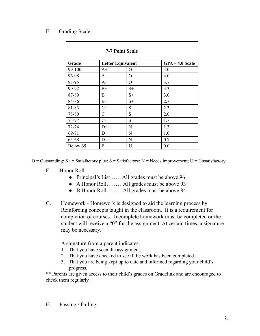#### E. Grading Scale:

| <b>7-7 Point Scale</b> |               |                          |                   |  |  |
|------------------------|---------------|--------------------------|-------------------|--|--|
| Grade                  |               | <b>Letter Equivalent</b> | $GPA - 4.0$ Scale |  |  |
| 99-100                 | $A+$          | O                        | 4.0               |  |  |
| 96-98                  | A             | $\mathbf{O}$             | 4.0               |  |  |
| 93-95                  | $A-$          | O                        | 3.7               |  |  |
| 90-92                  | $B+$          | $S+$                     | 3.3               |  |  |
| 87-89                  | B             | $S+$                     | 3.0               |  |  |
| 84-86                  | $B-$          | $S+$                     | 2.7               |  |  |
| 81-83                  | $C+$          | S                        | 2.3               |  |  |
| 78-80                  | $\mathcal{C}$ | S                        | 2.0               |  |  |
| 75-77                  | $C-$          | S                        | 1.7               |  |  |
| 72-74                  | $D+$          | N                        | 1.3               |  |  |
| 69-71                  | D             | N                        | 1.0               |  |  |
| 65-68                  | $D-$          | N                        | 0.7               |  |  |
| Below 65               | F             | U                        | 0.0               |  |  |

 $O =$  Outstanding; S+ = Satisfactory plus; S = Satisfactory; N = Needs improvement; U = Unsatisfactory

- F. Honor Roll:
	- Principal's List...... All grades must be above 96
	- A Honor Roll………All grades must be above 93
	- B Honor Roll……. ..All grades must be above 84
- G. Homework Homework is designed to aid the learning process by Reinforcing concepts taught in the classroom. It is a requirement for completion of courses. Incomplete homework must be completed or the student will receive a "0" for the assignment. At certain times, a signature may be necessary.

A signature from a parent indicates:

- 1. That you have seen the assignment.
- 2. That you have checked to see if the work has been completed.
- 3. That you are being kept up to date and informed regarding your child's progress.

\*\* Parents are given access to their child's grades on Gradelink and are encouraged to check them regularly.

H. Passing / Failing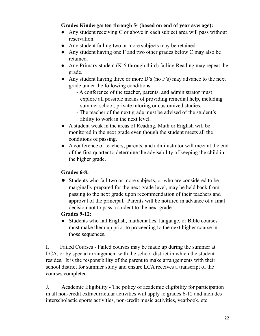#### **Grades Kindergarten through 5th (based on end of year average):**

- Any student receiving C or above in each subject area will pass without reservation.
- Any student failing two or more subjects may be retained.
- Any student having one F and two other grades below C may also be retained.
- Any Primary student (K-5 through third) failing Reading may repeat the grade.
- Any student having three or more D's (no F's) may advance to the next grade under the following conditions.
	- A conference of the teacher, parents, and administrator must explore all possible means of providing remedial help, including summer school, private tutoring or customized studies.
	- The teacher of the next grade must be advised of the student's ability to work in the next level.
- A student weak in the areas of Reading, Math or English will be monitored in the next grade even though the student meets all the conditions of passing.
- A conference of teachers, parents, and administrator will meet at the end of the first quarter to determine the advisability of keeping the child in the higher grade.

#### **Grades 6-8:**

● Students who fail two or more subjects, or who are considered to be marginally prepared for the next grade level, may be held back from passing to the next grade upon recommendation of their teachers and approval of the principal. Parents will be notified in advance of a final decision not to pass a student to the next grade.

#### **Grades 9-12:**

● Students who fail English, mathematics, language, or Bible courses must make them up prior to proceeding to the next higher course in those sequences.

I. Failed Courses - Failed courses may be made up during the summer at LCA, or by special arrangement with the school district in which the student resides. It is the responsibility of the parent to make arrangements with their school district for summer study and ensure LCA receives a transcript of the courses completed

J. Academic Eligibility - The policy of academic eligibility for participation in all non-credit extracurricular activities will apply to grades 6-12 and includes interscholastic sports activities, non-credit music activities, yearbook, etc.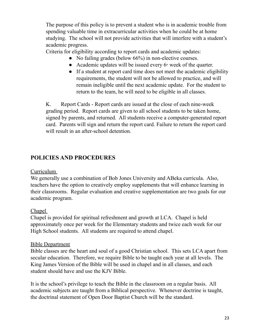The purpose of this policy is to prevent a student who is in academic trouble from spending valuable time in extracurricular activities when he could be at home studying. The school will not provide activities that will interfere with a student's academic progress.

Criteria for eligibility according to report cards and academic updates:

- No failing grades (below 66%) in non-elective courses.
- Academic updates will be issued every  $6<sup>th</sup>$  week of the quarter.
- If a student at report card time does not meet the academic eligibility requirements, the student will not be allowed to practice, and will remain ineligible until the next academic update. For the student to return to the team, he will need to be eligible in all classes.

K. Report Cards - Report cards are issued at the close of each nine-week grading period. Report cards are given to all school students to be taken home, signed by parents, and returned. All students receive a computer-generated report card. Parents will sign and return the report card. Failure to return the report card will result in an after-school detention.

#### **POLICIES AND PROCEDURES**

#### Curriculum

We generally use a combination of Bob Jones University and ABeka curricula. Also, teachers have the option to creatively employ supplements that will enhance learning in their classrooms. Regular evaluation and creative supplementation are two goals for our academic program.

#### Chapel

Chapel is provided for spiritual refreshment and growth at LCA. Chapel is held approximately once per week for the Elementary students and twice each week for our High School students. All students are required to attend chapel.

#### Bible Department

Bible classes are the heart and soul of a good Christian school. This sets LCA apart from secular education. Therefore, we require Bible to be taught each year at all levels. The King James Version of the Bible will be used in chapel and in all classes, and each student should have and use the KJV Bible.

It is the school's privilege to teach the Bible in the classroom on a regular basis. All academic subjects are taught from a Biblical perspective. Whenever doctrine is taught, the doctrinal statement of Open Door Baptist Church will be the standard.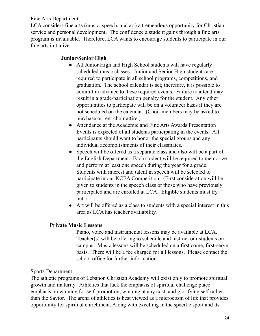Fine Arts Department

LCA considers fine arts (music, speech, and art) a tremendous opportunity for Christian service and personal development. The confidence a student gains through a fine arts program is invaluable. Therefore, LCA wants to encourage students to participate in our fine arts initiative.

#### **Junior/Senior High**

- All Junior High and High School students will have regularly scheduled music classes. Junior and Senior High students are required to participate in all school programs, competitions, and graduation. The school calendar is set; therefore, it is possible to commit in advance to these required events. Failure to attend may result in a grade/participation penalty for the student. Any other opportunities to participate will be on a volunteer basis if they are not scheduled on the calendar. (Choir members may be asked to purchase or rent choir attire.)
- Attendance at the Academic and Fine Arts Awards Presentation Events is expected of all students participating in the events. All participants should want to honor the special groups and any individual accomplishments of their classmates.
- Speech will be offered as a separate class and also will be a part of the English Department. Each student will be required to memorize and perform at least one speech during the year for a grade. Students with interest and talent in speech will be selected to participate in our KCEA Competition. (First consideration will be given to students in the speech class or those who have previously participated and are enrolled at LCA. Eligible students must try out.)
- Art will be offered as a class to students with a special interest in this area as LCA has teacher availability.

#### **Private Music Lessons**

Piano, voice and instrumental lessons may be available at LCA. Teacher(s) will be offering to schedule and instruct our students on campus. Music lessons will be scheduled on a first come, first-serve basis. There will be a fee charged for all lessons. Please contact the school office for further information.

#### Sports Department

The athletic programs of Lebanon Christian Academy will exist only to promote spiritual growth and maturity. Athletics that lack the emphasis of spiritual challenge place emphasis on winning for self-promotion, winning at any cost, and glorifying self rather than the Savior. The arena of athletics is best viewed as a microcosm of life that provides opportunity for spiritual enrichment. Along with excelling in the specific sport and its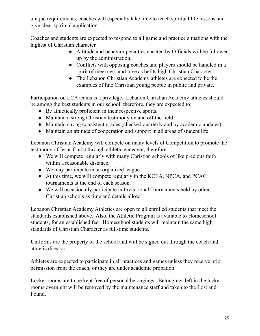unique requirements, coaches will especially take time to teach spiritual life lessons and give clear spiritual application.

Coaches and students are expected to respond to all game and practice situations with the highest of Christian character.

- Attitude and behavior penalties enacted by Officials will be followed up by the administration.
- Conflicts with opposing coaches and players should be handled in a spirit of meekness and love as befits high Christian Character.
- The Lebanon Christian Academy athletes are expected to be the examples of fine Christian young people in public and private.

Participation on LCA teams is a privilege. Lebanon Christian Academy athletes should be among the best students in our school; therefore, they are expected to:

- Be athletically proficient in their respective sports.
- Maintain a strong Christian testimony on and off the field.
- Maintain strong consistent grades (checked quarterly and by academic updates).
- Maintain an attitude of cooperation and support in all areas of student life.

Lebanon Christian Academy will compete on many levels of Competition to promote the testimony of Jesus Christ through athletic endeavor, therefore:

- We will compete regularly with many Christian schools of like precious faith within a reasonable distance.
- We may participate in an organized league.
- At this time, we will compete regularly in the KCEA, NPCA, and PCAC tournaments at the end of each season.
- We will occasionally participate in Invitational Tournaments held by other Christian schools as time and details allow.

Lebanon Christian Academy Athletics are open to all enrolled students that meet the standards established above. Also, the Athletic Program is available to Homeschool students, for an established fee. Homeschool students will maintain the same high standards of Christian Character as full-time students.

Uniforms are the property of the school and will be signed out through the coach and athletic director.

Athletes are expected to participate in all practices and games unless they receive prior permission from the coach, or they are under academic probation.

Locker rooms are to be kept free of personal belongings. Belongings left in the locker rooms overnight will be removed by the maintenance staff and taken to the Lost and Found.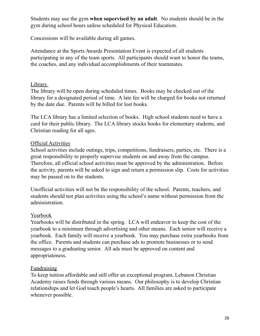Students may use the gym **when supervised by an adult**. No students should be in the gym during school hours unless scheduled for Physical Education.

Concessions will be available during all games.

Attendance at the Sports Awards Presentation Event is expected of all students participating in any of the team sports. All participants should want to honor the teams, the coaches, and any individual accomplishments of their teammates.

#### Library

The library will be open during scheduled times. Books may be checked out of the library for a designated period of time. A late fee will be charged for books not returned by the date due. Parents will be billed for lost books.

The LCA library has a limited selection of books. High school students need to have a card for their public library. The LCA library stocks books for elementary students, and Christian reading for all ages.

#### Official Activities

School activities include outings, trips, competitions, fundraisers, parties, etc. There is a great responsibility to properly supervise students on and away from the campus. Therefore, all official school activities must be approved by the administration. Before the activity, parents will be asked to sign and return a permission slip. Costs for activities may be passed on to the students.

Unofficial activities will not be the responsibility of the school. Parents, teachers, and students should not plan activities using the school's name without permission from the administration.

#### Yearbook

Yearbooks will be distributed in the spring. LCA will endeavor to keep the cost of the yearbook to a minimum through advertising and other means. Each senior will receive a yearbook. Each family will receive a yearbook. You may purchase extra yearbooks from the office. Parents and students can purchase ads to promote businesses or to send messages to a graduating senior. All ads must be approved on content and appropriateness.

#### Fundraising

To keep tuition affordable and still offer an exceptional program, Lebanon Christian Academy raises funds through various means. Our philosophy is to develop Christian relationships and let God touch people's hearts. All families are asked to participate whenever possible.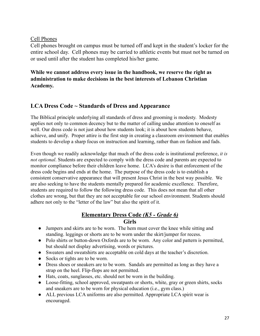#### Cell Phones

Cell phones brought on campus must be turned off and kept in the student's locker for the entire school day. Cell phones may be carried to athletic events but must not be turned on or used until after the student has completed his/her game.

**While we cannot address every issue in the handbook, we reserve the right as administration to make decisions in the best interests of Lebanon Christian Academy.**

#### **LCA Dress Code ~ Standards of Dress and Appearance**

The Biblical principle underlying all standards of dress and grooming is modesty. Modesty applies not only to common decency but to the matter of calling undue attention to oneself as well. Our dress code is not just about how students look; it is about how students behave, achieve, and unify. Proper attire is the first step in creating a classroom environment that enables students to develop a sharp focus on instruction and learning, rather than on fashion and fads.

Even though we readily acknowledge that much of the dress code is institutional preference, *it is not optional*. Students are expected to comply with the dress code and parents are expected to monitor compliance before their children leave home. LCA's desire is that enforcement of the dress code begins and ends at the home. The purpose of the dress code is to establish a consistent conservative appearance that will present Jesus Christ in the best way possible. We are also seeking to have the students mentally prepared for academic excellence. Therefore, students are required to follow the following dress code. This does not mean that all other clothes are wrong, but that they are not acceptable for our school environment. Students should adhere not only to the "letter of the law" but also the spirit of it.

#### **Elementary Dress Code** *(K5 - Grade 6)* **Girls**

- Jumpers and skirts are to be worn. The hem must cover the knee while sitting and standing. leggings or shorts are to be worn under the skirt/jumper for recess.
- Polo shirts or button-down Oxfords are to be worn. Any color and pattern is permitted, but should not display advertising, words or pictures.
- Sweaters and sweatshirts are acceptable on cold days at the teacher's discretion.
- Socks or tights are to be worn.
- Dress shoes or sneakers are to be worn. Sandals are permitted as long as they have a strap on the heel. Flip-flops are not permitted.
- Hats, coats, sunglasses, etc. should not be worn in the building.
- Loose-fitting, school approved, sweatpants or shorts, white, gray or green shirts, socks and sneakers are to be worn for physical education (i.e., gym class.)
- ALL previous LCA uniforms are also permitted. Appropriate LCA spirit wear is encouraged.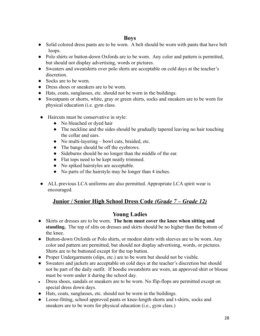#### **Boys**

- Solid colored dress pants are to be worn. A belt should be worn with pants that have belt loops.
- Polo shirts or button-down Oxfords are to be worn. Any color and pattern is permitted, but should not display advertising, words or pictures.
- Sweaters and sweatshirts over polo shirts are acceptable on cold days at the teacher's discretion.
- Socks are to be worn.
- Dress shoes or sneakers are to be worn.
- Hats, coats, sunglasses, etc. should not be worn in the buildings.
- Sweatpants or shorts, white, gray or green shirts, socks and sneakers are to be worn for physical education (i.e. gym class.
- Haircuts must be conservative in style:
	- No bleached or dyed hair
	- The neckline and the sides should be gradually tapered leaving no hair touching the collar and ears.
	- No multi-layering bowl cuts, braided, etc.
	- The bangs should be off the eyebrows.
	- Sideburns should be no longer than the middle of the ear.
	- Flat tops need to be kept neatly trimmed.
	- No spiked hairstyles are acceptable.
	- No parts of the hairstyle may be longer than 4 inches.
- ALL previous LCA uniforms are also permitted. Appropriate LCA spirit wear is encouraged.

#### **Junior / Senior High School Dress Code** *(Grade 7 – Grade 12)*

#### **Young Ladies**

- Skirts or dresses are to be worn. **The hem must cover the knee when sitting and standing.** The top of slits on dresses and skirts should be no higher than the bottom of the knee.
- Button-down Oxfords or Polo shirts, or modest shirts with sleeves are to be worn. Any color and pattern are permitted, but should not display advertising, words, or pictures. Shirts are to be buttoned except for the top button.
- Proper Undergarments (slips, etc.) are to be worn but should not be visible.
- Sweaters and jackets are acceptable on cold days at the teacher's discretion but should not be part of the daily outfit. If hoodie sweatshirts are worn, an approved shirt or blouse must be worn under it during the school day.
- Dress shoes, sandals or sneakers are to be worn. No flip-flops are permitted except on special dress down days.
- Hats, coats, sunglasses, etc. should not be worn in the buildings.
- Loose-fitting, school approved pants or knee-length shorts and t-shirts, socks and sneakers are to be worn for physical education (i.e., gym class.)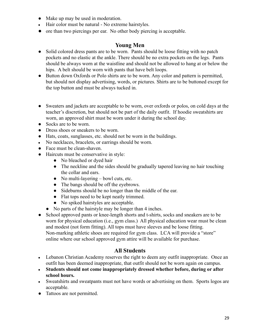- Make up may be used in moderation.
- Hair color must be natural No extreme hairstyles.
- **●** ore than two piercings per ear. No other body piercing is acceptable.

#### **Young Men**

- Solid colored dress pants are to be worn. Pants should be loose fitting with no patch pockets and no elastic at the ankle. There should be no extra pockets on the legs. Pants should be always worn at the waistline and should not be allowed to hang at or below the hips. A belt should be worn with pants that have belt loops.
- Button down Oxfords or Polo shirts are to be worn. Any color and pattern is permitted, but should not display advertising, words, or pictures. Shirts are to be buttoned except for the top button and must be always tucked in.
- Sweaters and jackets are acceptable to be worn, over oxfords or polos, on cold days at the teacher's discretion, but should not be part of the daily outfit. If hoodie sweatshirts are worn, an approved shirt must be worn under it during the school day.
- Socks are to be worn.
- Dress shoes or sneakers to be worn.
- Hats, coats, sunglasses, etc. should not be worn in the buildings.
- No necklaces, bracelets, or earrings should be worn.
- Face must be clean-shaven.
- Haircuts must be conservative in style:
	- No bleached or dyed hair
	- The neckline and the sides should be gradually tapered leaving no hair touching the collar and ears.
	- $\bullet$  No multi-layering bowl cuts, etc.
	- The bangs should be off the eyebrows.
	- Sideburns should be no longer than the middle of the ear.
	- Flat tops need to be kept neatly trimmed.
	- No spiked hairstyles are acceptable.
	- No parts of the hairstyle may be longer than 4 inches.
- School approved pants or knee-length shorts and t-shirts, socks and sneakers are to be worn for physical education (i.e., gym class.) All physical education wear must be clean and modest (not form fitting). All tops must have sleeves and be loose fitting. Non-marking athletic shoes are required for gym class. LCA will provide a "store" online where our school approved gym attire will be available for purchase.

#### **All Students**

- Lebanon Christian Academy reserves the right to deem any outfit inappropriate. Once an outfit has been deemed inappropriate, that outfit should not be worn again on campus.
- **● Students should not come inappropriately dressed whether before, during or after school hours.**
- Sweatshirts and sweatpants must not have words or advertising on them. Sports logos are acceptable.
- Tattoos are not permitted.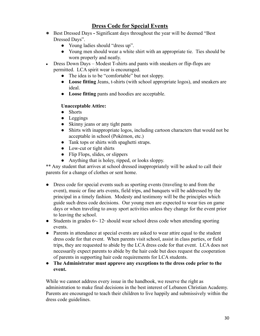#### **Dress Code for Special Events**

- **●** Best Dressed Days **-** Significant days throughout the year will be deemed "Best Dressed Days".
	- Young ladies should "dress up".
	- Young men should wear a white shirt with an appropriate tie. Ties should be worn properly and neatly.
- Dress Down Days Modest T-shirts and pants with sneakers or flip-flops are permitted. LCA spirit wear is encouraged.
	- The idea is to be "comfortable" but not sloppy.
	- **Loose fitting** Jeans, t-shirts (with school appropriate logos), and sneakers are ideal.
	- **Loose fitting** pants and hoodies are acceptable.

#### **Unacceptable Attire:**

- Shorts
- Leggings
- Skinny jeans or any tight pants
- Shirts with inappropriate logos, including cartoon characters that would not be acceptable in school (Pokémon, etc.)
- Tank tops or shirts with spaghetti straps.
- Low-cut or tight shirts
- Flip Flops, slides, or slippers
- Anything that is holey, ripped, or looks sloppy.

\*\* Any student that arrives at school dressed inappropriately will be asked to call their parents for a change of clothes or sent home.

- Dress code for special events such as sporting events (traveling to and from the event), music or fine arts events, field trips, and banquets will be addressed by the principal in a timely fashion. Modesty and testimony will be the principles which guide such dress code decisions. Our young men are expected to wear ties on game days or when traveling to away sport activities unless they change for the event prior to leaving the school.
- Students in grades  $6<sup>n</sup> 12<sup>n</sup>$  should wear school dress code when attending sporting events.
- Parents in attendance at special events are asked to wear attire equal to the student dress code for that event. When parents visit school, assist in class parties, or field trips, they are requested to abide by the LCA dress code for that event. LCA does not necessarily expect parents to abide by the hair code but does request the cooperation of parents in supporting hair code requirements for LCA students.
- **● The Administrator must approve any exceptions to the dress code prior to the event.**

While we cannot address every issue in the handbook, we reserve the right as administration to make final decisions in the best interest of Lebanon Christian Academy. Parents are encouraged to teach their children to live happily and submissively within the dress code guidelines.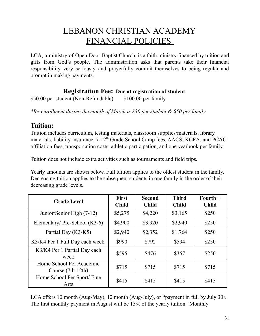## LEBANON CHRISTIAN ACADEMY FINANCIAL POLICIES

LCA, a ministry of Open Door Baptist Church, is a faith ministry financed by tuition and gifts from God's people. The administration asks that parents take their financial responsibility very seriously and prayerfully commit themselves to being regular and prompt in making payments.

#### *sports fee are* **Registration Fee: Due at registration of student**

\$50.00 per student (Non-Refundable) \$100.00 per family

*\*Re-enrollment during the month of March is \$30 per student & \$50 per family*

### **Tuition:**

Tuition includes curriculum, testing materials, classroom supplies/materials, library materials, liability insurance, 7-12<sup>th</sup> Grade School Camp fees, AACS, KCEA, and PCAC affiliation fees, transportation costs, athletic participation, and one yearbook per family.

Tuition does not include extra activities such as tournaments and field trips.

Yearly amounts are shown below. Full tuition applies to the oldest student in the family. Decreasing tuition applies to the subsequent students in one family in the order of their decreasing grade levels.

| <b>Grade Level</b>                              | <b>First</b><br><b>Child</b> | <b>Second</b><br><b>Child</b> | <b>Third</b><br><b>Child</b> | $\textbf{Fourth} +$<br><b>Child</b> |
|-------------------------------------------------|------------------------------|-------------------------------|------------------------------|-------------------------------------|
| Junior/Senior High (7-12)                       | \$5,275                      | \$4,220                       | \$3,165                      | \$250                               |
| Elementary/ Pre-School (K3-6)                   | \$4,900                      | \$3,920                       | \$2,940                      | \$250                               |
| Partial Day (K3-K5)                             | \$2,940                      | \$2,352                       | \$1,764                      | \$250                               |
| K3/K4 Per 1 Full Day each week                  | \$990                        | \$792                         | \$594                        | \$250                               |
| K3/K4 Per 1 Partial Day each<br>week            | \$595                        | \$476                         | \$357                        | \$250                               |
| Home School Per Academic<br>Course $(7th-12th)$ | \$715                        | \$715                         | \$715                        | \$715                               |
| Home School Per Sport/Fine<br>Arts              | \$415                        | \$415                         | \$415                        | \$415                               |

LCA offers 10 month (Aug-May), 12 month (Aug-July), or  $*$  payment in full by July 30<sup>th</sup>. The first monthly payment in August will be 15% of the yearly tuition. Monthly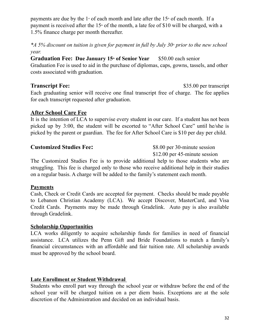payments are due by the  $1$ <sup>s</sup> of each month and late after the  $15<sup>th</sup>$  of each month. If a payment is received after the 15<sup>th</sup> of the month, a late fee of \$10 will be charged, with a 1.5% finance charge per month thereafter.

\*A 5% discount on tuition is given for payment in full by July 30<sup>\*</sup> prior to the new school *year.*

#### **Graduation Fee: Due January 15th of Senior Year** \$50.00 each senior

Graduation Fee is used to aid in the purchase of diplomas, caps, gowns, tassels, and other costs associated with graduation.

#### **Transcript Fee:** \$35.00 per transcript

Each graduating senior will receive one final transcript free of charge. The fee applies for each transcript requested after graduation.

#### **After School Care Fee**

It is the intention of LCA to supervise every student in our care. If a student has not been picked up by 3:00, the student will be escorted to "After School Care" until he/she is picked by the parent or guardian. The fee for After School Care is \$10 per day per child.

**Customized Studies Fee:** \$8.00 per 30-minute session \$12.00 per 45-minute session

The Customized Studies Fee is to provide additional help to those students who are struggling. This fee is charged only to those who receive additional help in their studies on a regular basis. A charge will be added to the family's statement each month.

#### **Payments**

Cash, Check or Credit Cards are accepted for payment. Checks should be made payable to Lebanon Christian Academy (LCA). We accept Discover, MasterCard, and Visa Credit Cards. Payments may be made through Gradelink. Auto pay is also available through Gradelink.

#### **Scholarship Opportunities**

LCA works diligently to acquire scholarship funds for families in need of financial assistance. LCA utilizes the Penn Gift and Bride Foundations to match a family's financial circumstances with an affordable and fair tuition rate. All scholarship awards must be approved by the school board.

#### **Late Enrollment or Student Withdrawal**

Students who enroll part way through the school year or withdraw before the end of the school year will be charged tuition on a per diem basis. Exceptions are at the sole discretion of the Administration and decided on an individual basis.